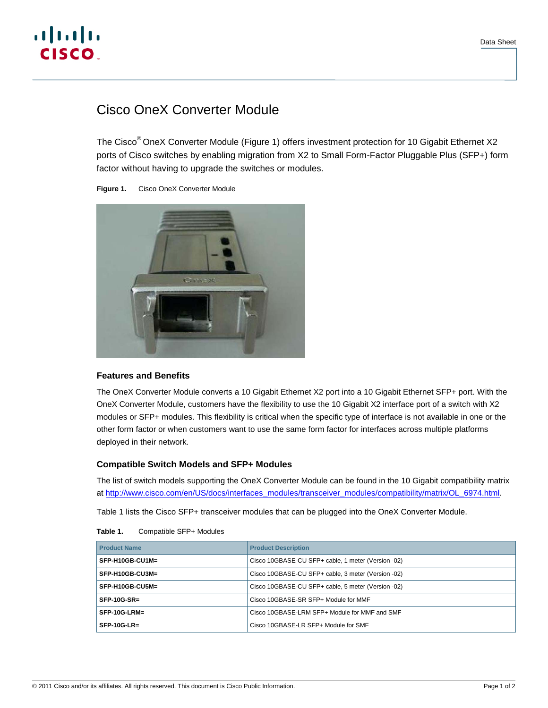

# Cisco OneX Converter Module

The Cisco® OneX Converter Module (Figure 1) offers investment protection for 10 Gigabit Ethernet X2 ports of Cisco switches by enabling migration from X2 to Small Form-Factor Pluggable Plus (SFP+) form factor without having to upgrade the switches or modules.





# **Features and Benefits**

The OneX Converter Module converts a 10 Gigabit Ethernet X2 port into a 10 Gigabit Ethernet SFP+ port. With the OneX Converter Module, customers have the flexibility to use the 10 Gigabit X2 interface port of a switch with X2 modules or SFP+ modules. This flexibility is critical when the specific type of interface is not available in one or the other form factor or when customers want to use the same form factor for interfaces across multiple platforms deployed in their network.

# **Compatible Switch Models and SFP+ Modules**

The list of switch models supporting the OneX Converter Module can be found in the 10 Gigabit compatibility matrix at [http://www.cisco.com/en/US/docs/interfaces\\_modules/transceiver\\_modules/compatibility/matrix/OL\\_6974.html](http://www.cisco.com/en/US/docs/interfaces_modules/transceiver_modules/compatibility/matrix/OL_6974.html).

Table 1 lists the Cisco SFP+ transceiver modules that can be plugged into the OneX Converter Module.

| <b>Product Name</b> | <b>Product Description</b>                         |
|---------------------|----------------------------------------------------|
| SFP-H10GB-CU1M=     | Cisco 10GBASE-CU SFP+ cable, 1 meter (Version -02) |
| SFP-H10GB-CU3M=     | Cisco 10GBASE-CU SFP+ cable, 3 meter (Version -02) |
| SFP-H10GB-CU5M=     | Cisco 10GBASE-CU SFP+ cable, 5 meter (Version -02) |
| $SFP-10G-SR=$       | Cisco 10GBASE-SR SFP+ Module for MMF               |
| $SFP-10G-LRM=$      | Cisco 10GBASE-LRM SFP+ Module for MMF and SMF      |
| $SFP-10G-LR=$       | Cisco 10GBASE-LR SFP+ Module for SMF               |

#### **Table 1.** Compatible SFP+ Modules